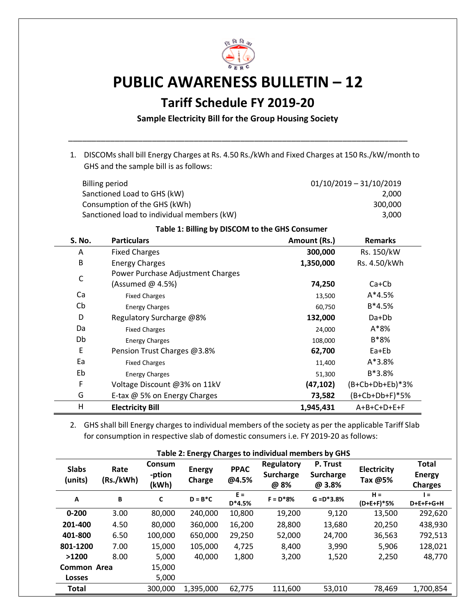

## **PUBLIC AWARENESS BULLETIN – 12**

## **Tariff Schedule FY 2019-20**

**Sample Electricity Bill for the Group Housing Society**

\_\_\_\_\_\_\_\_\_\_\_\_\_\_\_\_\_\_\_\_\_\_\_\_\_\_\_\_\_\_\_\_\_\_\_\_\_\_\_\_\_\_\_\_\_\_\_\_\_\_\_\_\_\_\_\_\_\_\_\_\_\_\_\_\_\_\_\_\_\_\_\_\_

1. DISCOMs shall bill Energy Charges at Rs. 4.50 Rs./kWh and Fixed Charges at 150 Rs./kW/month to GHS and the sample bill is as follows:

| Billing period                             | $01/10/2019 - 31/10/2019$ |
|--------------------------------------------|---------------------------|
| Sanctioned Load to GHS (kW)                | 2.000                     |
| Consumption of the GHS (kWh)               | 300,000                   |
| Sanctioned load to individual members (kW) | 3.000                     |

## **Table 1: Billing by DISCOM to the GHS Consumer**

| S. No.       | <b>Particulars</b>                | Amount (Rs.) | <b>Remarks</b>          |
|--------------|-----------------------------------|--------------|-------------------------|
| A            | <b>Fixed Charges</b>              | 300,000      | Rs. 150/kW              |
| B            | <b>Energy Charges</b>             | 1,350,000    | Rs. 4.50/kWh            |
| $\mathsf{C}$ | Power Purchase Adjustment Charges |              |                         |
|              | (Assumed @ 4.5%)                  | 74,250       | $Ca+Cb$                 |
| Ca           | <b>Fixed Charges</b>              | 13,500       | $A*4.5%$                |
| Cb           | <b>Energy Charges</b>             | 60,750       | $B*4.5%$                |
| D            | Regulatory Surcharge @8%          | 132,000      | $Da+Db$                 |
| Da           | <b>Fixed Charges</b>              | 24,000       | $A*8%$                  |
| Db           | <b>Energy Charges</b>             | 108,000      | B*8%                    |
| E            | Pension Trust Charges @3.8%       | 62,700       | Ea+Eb                   |
| Ea           | <b>Fixed Charges</b>              | 11,400       | $A*3.8%$                |
| Eb           | <b>Energy Charges</b>             | 51,300       | $B*3.8%$                |
| F            | Voltage Discount @3% on 11kV      | (47, 102)    | $(B + Cb + Db + Eb)*3%$ |
| G            | E-tax @ 5% on Energy Charges      | 73,582       | (B+Cb+Db+F)*5%          |
| н            | <b>Electricity Bill</b>           | 1,945,431    | A+B+C+D+E+F             |

2. GHS shall bill Energy charges to individual members of the society as per the applicable Tariff Slab for consumption in respective slab of domestic consumers i.e. FY 2019-20 as follows:

| Table 2: Energy Charges to individual members by GHS |                   |                                  |                         |                      |                                        |                                 |                               |                                                 |
|------------------------------------------------------|-------------------|----------------------------------|-------------------------|----------------------|----------------------------------------|---------------------------------|-------------------------------|-------------------------------------------------|
| <b>Slabs</b><br>(units)                              | Rate<br>(Rs./kWh) | <b>Consum</b><br>-ption<br>(kWh) | <b>Energy</b><br>Charge | <b>PPAC</b><br>@4.5% | Regulatory<br><b>Surcharge</b><br>@ 8% | P. Trust<br>Surcharge<br>@ 3.8% | <b>Electricity</b><br>Tax @5% | <b>Total</b><br><b>Energy</b><br><b>Charges</b> |
| A                                                    | B                 | C                                | $D = B^*C$              | $E =$<br>$D*4.5%$    | $F = D*8%$                             | $G = D^*3.8%$                   | $H =$<br>$(D+E+F)*5%$         | $=$<br>D+E+F+G+H                                |
| $0 - 200$                                            | 3.00              | 80,000                           | 240,000                 | 10,800               | 19,200                                 | 9,120                           | 13,500                        | 292,620                                         |
| 201-400                                              | 4.50              | 80,000                           | 360,000                 | 16,200               | 28,800                                 | 13,680                          | 20,250                        | 438,930                                         |
| 401-800                                              | 6.50              | 100,000                          | 650,000                 | 29,250               | 52,000                                 | 24,700                          | 36,563                        | 792,513                                         |
| 801-1200                                             | 7.00              | 15,000                           | 105,000                 | 4,725                | 8,400                                  | 3,990                           | 5,906                         | 128,021                                         |
| >1200                                                | 8.00              | 5,000                            | 40,000                  | 1,800                | 3,200                                  | 1,520                           | 2,250                         | 48,770                                          |
| Common Area                                          |                   | 15,000                           |                         |                      |                                        |                                 |                               |                                                 |
| <b>Losses</b>                                        |                   | 5,000                            |                         |                      |                                        |                                 |                               |                                                 |
| <b>Total</b>                                         |                   | 300,000                          | 1,395,000               | 62,775               | 111,600                                | 53,010                          | 78,469                        | 1,700,854                                       |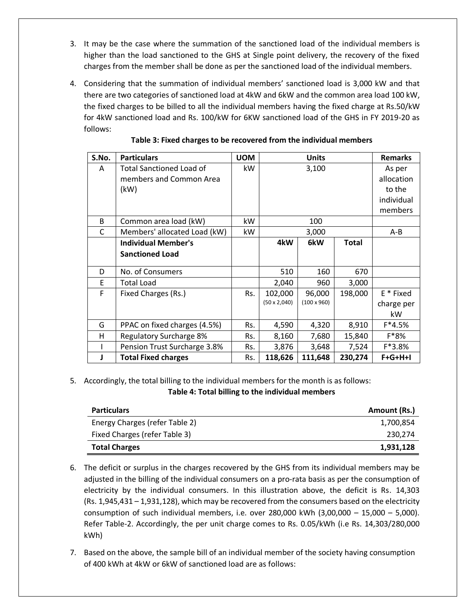- 3. It may be the case where the summation of the sanctioned load of the individual members is higher than the load sanctioned to the GHS at Single point delivery, the recovery of the fixed charges from the member shall be done as per the sanctioned load of the individual members.
- 4. Considering that the summation of individual members' sanctioned load is 3,000 kW and that there are two categories of sanctioned load at 4kW and 6kW and the common area load 100 kW, the fixed charges to be billed to all the individual members having the fixed charge at Rs.50/kW for 4kW sanctioned load and Rs. 100/kW for 6KW sanctioned load of the GHS in FY 2019-20 as follows:

| S.No. | <b>Particulars</b>              | <b>UOM</b> | <b>Units</b>        |                    |              | <b>Remarks</b> |
|-------|---------------------------------|------------|---------------------|--------------------|--------------|----------------|
| A     | <b>Total Sanctioned Load of</b> | kW         | 3,100               |                    |              | As per         |
|       | members and Common Area         |            |                     |                    |              | allocation     |
|       | (kW)                            |            |                     |                    |              | to the         |
|       |                                 |            |                     |                    |              | individual     |
|       |                                 |            |                     |                    |              | members        |
| B     | Common area load (kW)           | kW.        | 100                 |                    |              |                |
| C     | Members' allocated Load (kW)    | kW         | 3,000               |                    |              | $A - B$        |
|       | <b>Individual Member's</b>      |            | 4kW                 | 6kW                | <b>Total</b> |                |
|       | <b>Sanctioned Load</b>          |            |                     |                    |              |                |
| D     | No. of Consumers                |            | 510                 | 160                | 670          |                |
| F     | <b>Total Load</b>               |            | 2,040               | 960                | 3,000        |                |
| F     | Fixed Charges (Rs.)             | Rs.        | 102,000             | 96,000             | 198,000      | E * Fixed      |
|       |                                 |            | $(50 \times 2,040)$ | $(100 \times 960)$ |              | charge per     |
|       |                                 |            |                     |                    |              | kW             |
| G     | PPAC on fixed charges (4.5%)    | Rs.        | 4,590               | 4,320              | 8,910        | $F*4.5%$       |
| H     | <b>Regulatory Surcharge 8%</b>  | Rs.        | 8,160               | 7,680              | 15,840       | $F*8%$         |
|       | Pension Trust Surcharge 3.8%    | Rs.        | 3,876               | 3,648              | 7,524        | F*3.8%         |
|       | <b>Total Fixed charges</b>      | Rs.        | 118,626             | 111,648            | 230,274      | $F+G+H+I$      |

## **Table 3: Fixed charges to be recovered from the individual members**

5. Accordingly, the total billing to the individual members for the month is as follows: **Table 4: Total billing to the individual members**

| <b>Particulars</b>             | Amount (Rs.) |
|--------------------------------|--------------|
| Energy Charges (refer Table 2) | 1,700,854    |
| Fixed Charges (refer Table 3)  | 230.274      |
| <b>Total Charges</b>           | 1,931,128    |

- 6. The deficit or surplus in the charges recovered by the GHS from its individual members may be adjusted in the billing of the individual consumers on a pro-rata basis as per the consumption of electricity by the individual consumers. In this illustration above, the deficit is Rs. 14,303 (Rs. 1,945,431 – 1,931,128), which may be recovered from the consumers based on the electricity consumption of such individual members, i.e. over  $280,000$  kWh  $(3,00,000 - 15,000 - 5,000)$ . Refer Table-2. Accordingly, the per unit charge comes to Rs. 0.05/kWh (i.e Rs. 14,303/280,000 kWh)
- 7. Based on the above, the sample bill of an individual member of the society having consumption of 400 kWh at 4kW or 6kW of sanctioned load are as follows: